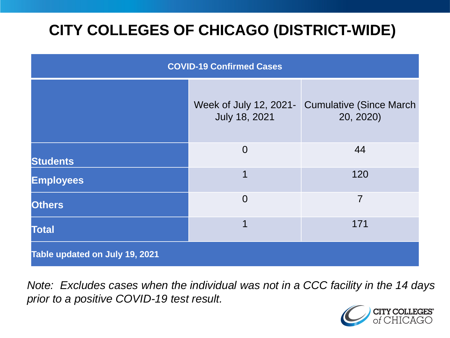# **CITY COLLEGES OF CHICAGO (DISTRICT-WIDE)**

| <b>COVID-19 Confirmed Cases</b> |                                         |                                              |
|---------------------------------|-----------------------------------------|----------------------------------------------|
|                                 | Week of July 12, 2021-<br>July 18, 2021 | <b>Cumulative (Since March)</b><br>20, 2020) |
| <b>Students</b>                 | $\overline{0}$                          | 44                                           |
| <b>Employees</b>                | 1                                       | 120                                          |
| <b>Others</b>                   | $\overline{0}$                          | $\overline{7}$                               |
| <b>Total</b>                    | 1                                       | 171                                          |
| Table updated on July 19, 2021  |                                         |                                              |

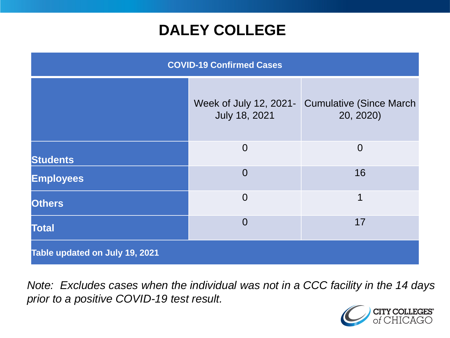### **DALEY COLLEGE**

| <b>COVID-19 Confirmed Cases</b> |                                         |                                              |
|---------------------------------|-----------------------------------------|----------------------------------------------|
|                                 | Week of July 12, 2021-<br>July 18, 2021 | <b>Cumulative (Since March)</b><br>20, 2020) |
| <b>Students</b>                 | $\overline{0}$                          | $\overline{0}$                               |
| <b>Employees</b>                | $\overline{0}$                          | 16                                           |
| <b>Others</b>                   | $\overline{0}$                          | $\overline{\mathbf{1}}$                      |
| <b>Total</b>                    | $\overline{0}$                          | 17                                           |
| Table updated on July 19, 2021  |                                         |                                              |

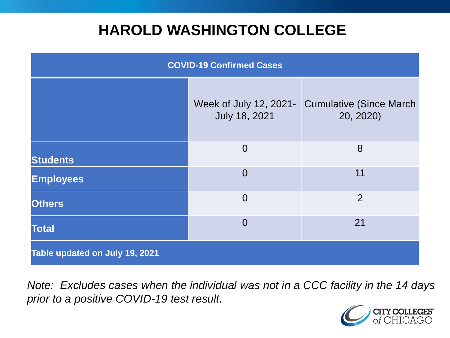### **HAROLD WASHINGTON COLLEGE**

| <b>COVID-19 Confirmed Cases</b> |                                         |                                              |
|---------------------------------|-----------------------------------------|----------------------------------------------|
|                                 | Week of July 12, 2021-<br>July 18, 2021 | <b>Cumulative (Since March)</b><br>20, 2020) |
| <b>Students</b>                 | $\overline{0}$                          | 8                                            |
| <b>Employees</b>                | $\Omega$                                | 11                                           |
| <b>Others</b>                   | $\overline{0}$                          | $\overline{2}$                               |
| <b>Total</b>                    | $\Omega$                                | 21                                           |
| Table updated on July 19, 2021  |                                         |                                              |

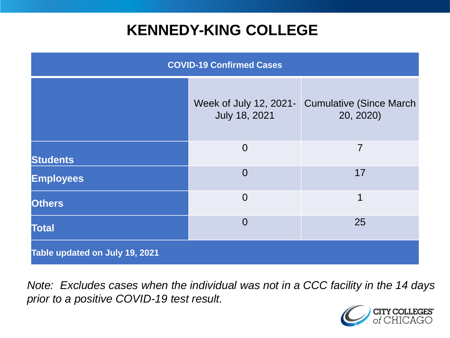### **KENNEDY-KING COLLEGE**

| <b>COVID-19 Confirmed Cases</b> |                                         |                                              |
|---------------------------------|-----------------------------------------|----------------------------------------------|
|                                 | Week of July 12, 2021-<br>July 18, 2021 | <b>Cumulative (Since March)</b><br>20, 2020) |
| <b>Students</b>                 | $\overline{0}$                          | 7                                            |
| <b>Employees</b>                | $\Omega$                                | 17                                           |
| <b>Others</b>                   | $\overline{0}$                          | 1                                            |
| <b>Total</b>                    | $\overline{0}$                          | 25                                           |
| Table updated on July 19, 2021  |                                         |                                              |

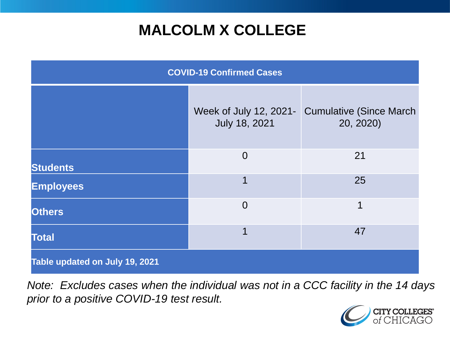## **MALCOLM X COLLEGE**

| <b>COVID-19 Confirmed Cases</b> |                                         |                                              |
|---------------------------------|-----------------------------------------|----------------------------------------------|
|                                 | Week of July 12, 2021-<br>July 18, 2021 | <b>Cumulative (Since March)</b><br>20, 2020) |
| <b>Students</b>                 | $\overline{0}$                          | 21                                           |
| <b>Employees</b>                | 1                                       | 25                                           |
| <b>Others</b>                   | $\overline{0}$                          | 1                                            |
| <b>Total</b>                    | 1                                       | 47                                           |
| Table updated on July 19, 2021  |                                         |                                              |

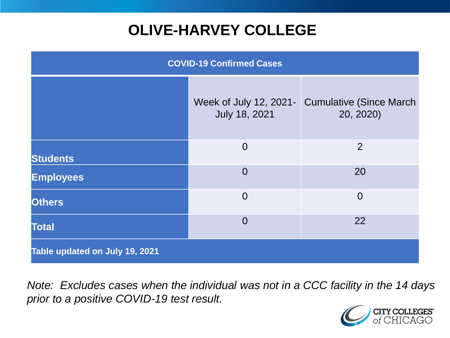# **OLIVE-HARVEY COLLEGE**

| <b>COVID-19 Confirmed Cases</b> |                                         |                                              |
|---------------------------------|-----------------------------------------|----------------------------------------------|
|                                 | Week of July 12, 2021-<br>July 18, 2021 | <b>Cumulative (Since March)</b><br>20, 2020) |
| <b>Students</b>                 | $\overline{0}$                          | 2                                            |
| <b>Employees</b>                | $\overline{0}$                          | 20                                           |
| <b>Others</b>                   | $\overline{0}$                          | $\overline{0}$                               |
| <b>Total</b>                    | $\overline{0}$                          | 22                                           |
| Table updated on July 19, 2021  |                                         |                                              |

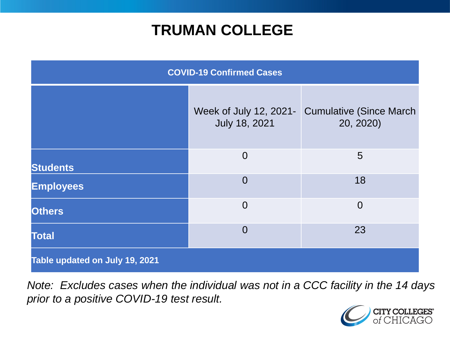### **TRUMAN COLLEGE**

| <b>COVID-19 Confirmed Cases</b> |                                         |                                              |
|---------------------------------|-----------------------------------------|----------------------------------------------|
|                                 | Week of July 12, 2021-<br>July 18, 2021 | <b>Cumulative (Since March)</b><br>20, 2020) |
| <b>Students</b>                 | $\overline{0}$                          | 5                                            |
| <b>Employees</b>                | $\overline{0}$                          | 18                                           |
| <b>Others</b>                   | $\overline{0}$                          | $\overline{0}$                               |
| <b>Total</b>                    | $\overline{0}$                          | 23                                           |
| Table updated on July 19, 2021  |                                         |                                              |

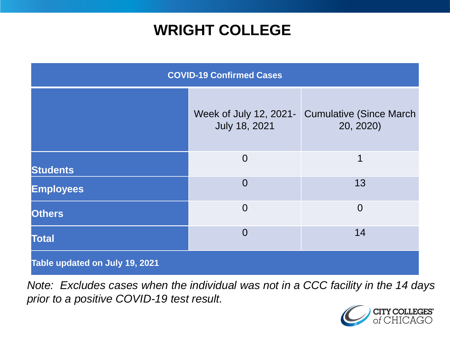### **WRIGHT COLLEGE**

| <b>COVID-19 Confirmed Cases</b> |                                         |                                              |
|---------------------------------|-----------------------------------------|----------------------------------------------|
|                                 | Week of July 12, 2021-<br>July 18, 2021 | <b>Cumulative (Since March)</b><br>20, 2020) |
| <b>Students</b>                 | $\overline{0}$                          | 1                                            |
| <b>Employees</b>                | $\overline{0}$                          | 13                                           |
| <b>Others</b>                   | $\overline{0}$                          | $\overline{0}$                               |
| <b>Total</b>                    | $\Omega$                                | 14                                           |
| Table updated on July 19, 2021  |                                         |                                              |